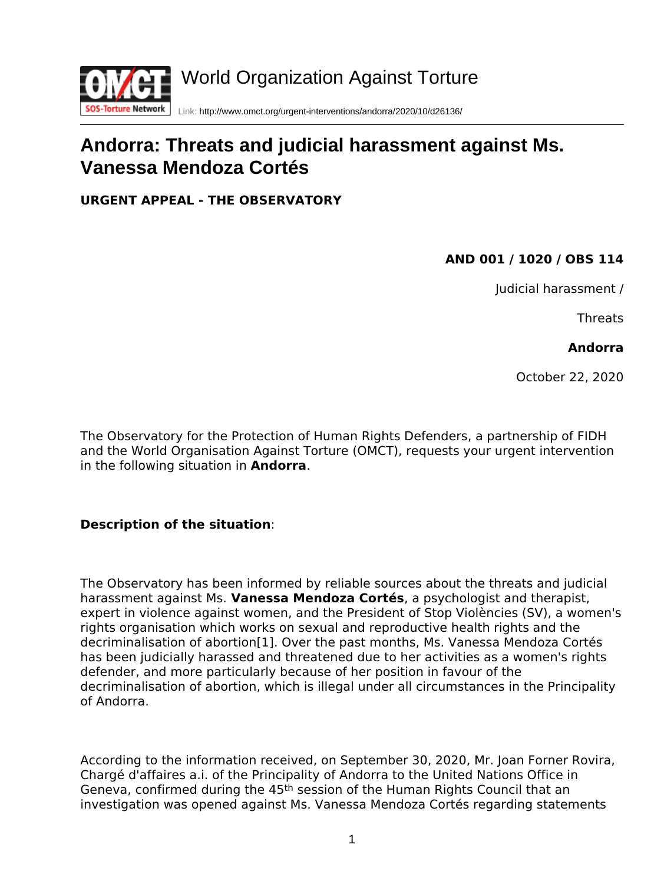

# **Andorra: Threats and judicial harassment against Ms. Vanessa Mendoza Cortés**

**URGENT APPEAL - THE OBSERVATORY**

## **AND 001 / 1020 / OBS 114**

Judicial harassment /

Threats

#### **Andorra**

October 22, 2020

The Observatory for the Protection of Human Rights Defenders, a partnership of FIDH and the World Organisation Against Torture (OMCT), requests your urgent intervention in the following situation in **Andorra**.

### **Description of the situation**:

<span id="page-0-0"></span>The Observatory has been informed by reliable sources about the threats and judicial harassment against Ms. **Vanessa Mendoza Cortés**, a psychologist and therapist, expert in violence against women, and the President of Stop Violències (SV), a women's rights organisation which works on sexual and reproductive health rights and the decriminalisation of abortion[\[1\].](#page-3-0) Over the past months, Ms. Vanessa Mendoza Cortés has been judicially harassed and threatened due to her activities as a women's rights defender, and more particularly because of her position in favour of the decriminalisation of abortion, which is illegal under all circumstances in the Principality of Andorra.

According to the information received, on September 30, 2020, Mr. Joan Forner Rovira, Chargé d'affaires a.i. of the Principality of Andorra to the United Nations Office in Geneva, confirmed during the 45th session of the Human Rights Council that an investigation was opened against Ms. Vanessa Mendoza Cortés regarding statements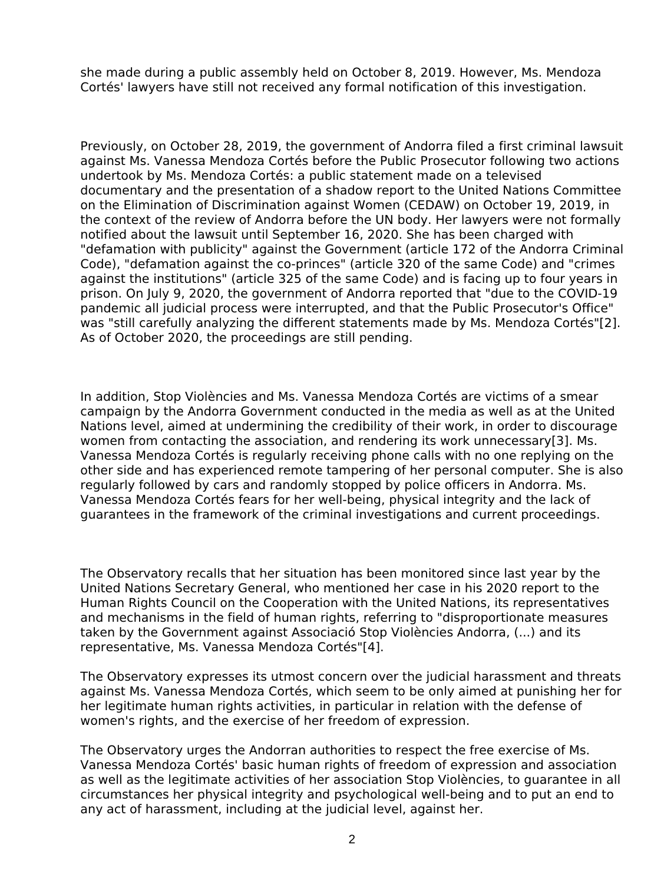she made during a public assembly held on October 8, 2019. However, Ms. Mendoza Cortés' lawyers have still not received any formal notification of this investigation.

Previously, on October 28, 2019, the government of Andorra filed a first criminal lawsuit against Ms. Vanessa Mendoza Cortés before the Public Prosecutor following two actions undertook by Ms. Mendoza Cortés: a public statement made on a televised documentary and the presentation of a shadow report to the United Nations Committee on the Elimination of Discrimination against Women (CEDAW) on October 19, 2019, in the context of the review of Andorra before the UN body. Her lawyers were not formally notified about the lawsuit until September 16, 2020. She has been charged with "defamation with publicity" against the Government (article 172 of the Andorra Criminal Code), "defamation against the co-princes" (article 320 of the same Code) and "crimes against the institutions" (article 325 of the same Code) and is facing up to four years in prison. On July 9, 2020, the government of Andorra reported that "due to the COVID-19 pandemic all judicial process were interrupted, and that the Public Prosecutor's Office" was "still carefully analyzing the different statements made by Ms. Mendoza Cortés["\[2\].](#page-3-1) As of October 2020, the proceedings are still pending.

<span id="page-1-1"></span><span id="page-1-0"></span>In addition, Stop Violències and Ms. Vanessa Mendoza Cortés are victims of a smear campaign by the Andorra Government conducted in the media as well as at the United Nations level, aimed at undermining the credibility of their work, in order to discourage women from contacting the association, and rendering its work unnecessar[y\[3\].](#page-3-2) Ms. Vanessa Mendoza Cortés is regularly receiving phone calls with no one replying on the other side and has experienced remote tampering of her personal computer. She is also regularly followed by cars and randomly stopped by police officers in Andorra. Ms. Vanessa Mendoza Cortés fears for her well-being, physical integrity and the lack of guarantees in the framework of the criminal investigations and current proceedings.

The Observatory recalls that her situation has been monitored since last year by the United Nations Secretary General, who mentioned her case in his 2020 report to the Human Rights Council on the Cooperation with the United Nations, its representatives and mechanisms in the field of human rights, referring to "disproportionate measures taken by the Government against Associació Stop Violències Andorra, (...) and its representative, Ms. Vanessa Mendoza Cortés["\[4\].](#page-3-3)

<span id="page-1-2"></span>The Observatory expresses its utmost concern over the judicial harassment and threats against Ms. Vanessa Mendoza Cortés, which seem to be only aimed at punishing her for her legitimate human rights activities, in particular in relation with the defense of women's rights, and the exercise of her freedom of expression.

The Observatory urges the Andorran authorities to respect the free exercise of Ms. Vanessa Mendoza Cortés' basic human rights of freedom of expression and association as well as the legitimate activities of her association Stop Violències, to guarantee in all circumstances her physical integrity and psychological well-being and to put an end to any act of harassment, including at the judicial level, against her.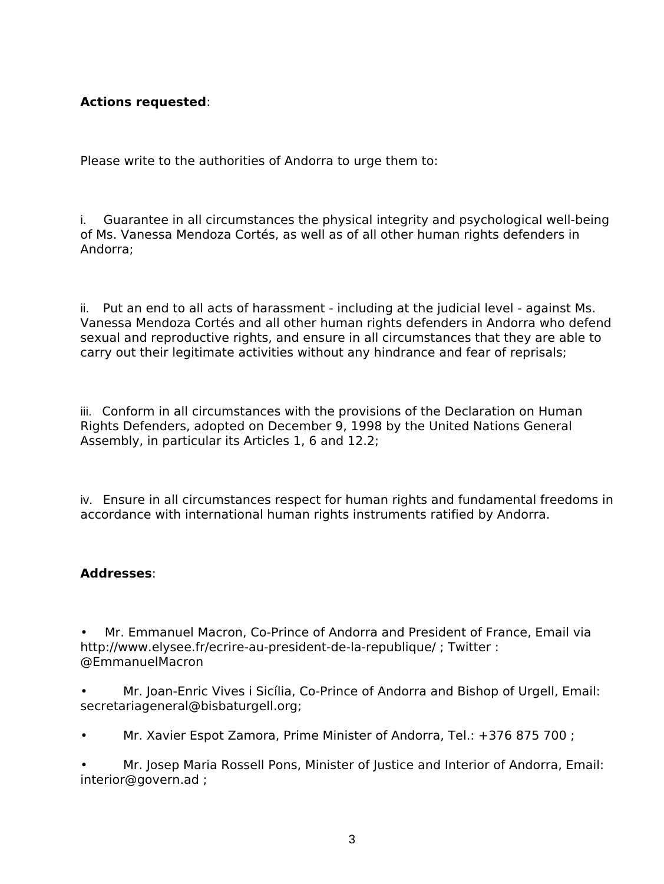### **Actions requested**:

Please write to the authorities of Andorra to urge them to:

i. Guarantee in all circumstances the physical integrity and psychological well-being of Ms. Vanessa Mendoza Cortés, as well as of all other human rights defenders in Andorra;

ii. Put an end to all acts of harassment - including at the judicial level - against Ms. Vanessa Mendoza Cortés and all other human rights defenders in Andorra who defend sexual and reproductive rights, and ensure in all circumstances that they are able to carry out their legitimate activities without any hindrance and fear of reprisals;

iii. Conform in all circumstances with the provisions of the Declaration on Human Rights Defenders, adopted on December 9, 1998 by the United Nations General Assembly, in particular its Articles 1, 6 and 12.2;

iv. Ensure in all circumstances respect for human rights and fundamental freedoms in accordance with international human rights instruments ratified by Andorra.

### **Addresses**:

• Mr. Emmanuel Macron, Co-Prince of Andorra and President of France, Email via <http://www.elysee.fr/ecrire-au-president-de-la-republique/>; Twitter : @EmmanuelMacron

- Mr. Joan-Enric Vives i Sicília, Co-Prince of Andorra and Bishop of Urgell, Email: [secretariageneral@bisbaturgell.org;](mailto:secretariageneral@bisbaturgell.org)
- Mr. Xavier Espot Zamora, Prime Minister of Andorra, Tel.: +376 875 700 ;

• Mr. Josep Maria Rossell Pons, Minister of Justice and Interior of Andorra, Email: [interior@govern.ad](mailto:interior@govern.ad) ;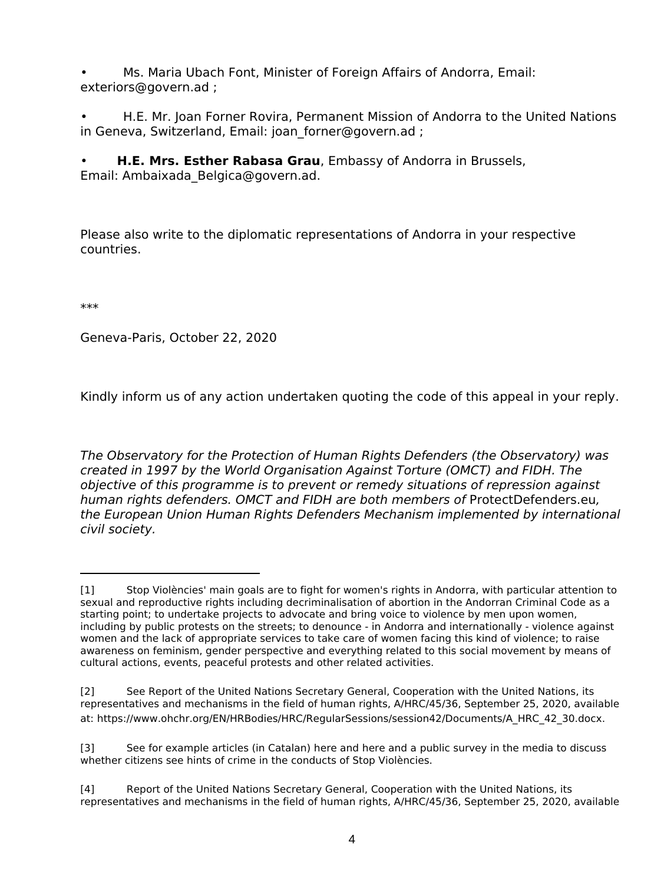• Ms. Maria Ubach Font, Minister of Foreign Affairs of Andorra, Email: [exteriors@govern.ad](mailto:exteriors@govern.ad) ;

• H.E. Mr. Joan Forner Rovira, Permanent Mission of Andorra to the United Nations in Geneva, Switzerland, Email: joan forner@govern.ad ;

• **H.E. Mrs. Esther Rabasa Grau**, Embassy of Andorra in Brussels,

Email: [Ambaixada\\_Belgica@govern.ad.](mailto:Ambaixada_Belgica@govern.ad)

Please also write to the diplomatic representations of Andorra in your respective countries.

\*\*\*

Geneva-Paris, October 22, 2020

Kindly inform us of any action undertaken quoting the code of this appeal in your reply.

*The Observatory for the Protection of Human Rights Defenders (the Observatory) was created in 1997 by the World Organisation Against Torture (OMCT) and FIDH. The objective of this programme is to prevent or remedy situations of repression against human rights defenders. OMCT and FIDH are both members of* [ProtectDefenders.eu](https://www.protectdefenders.eu/en/index.html)*, the European Union Human Rights Defenders Mechanism implemented by international civil society.* 

<span id="page-3-0"></span>[<sup>\[1\]</sup>](#page-0-0) Stop Violències' main goals are to fight for women's rights in Andorra, with particular attention to sexual and reproductive rights including decriminalisation of abortion in the Andorran Criminal Code as a starting point; to undertake projects to advocate and bring voice to violence by men upon women, including by public protests on the streets; to denounce - in Andorra and internationally - violence against women and the lack of appropriate services to take care of women facing this kind of violence; to raise awareness on feminism, gender perspective and everything related to this social movement by means of cultural actions, events, peaceful protests and other related activities.

<span id="page-3-1"></span>[<sup>\[2\]</sup>](#page-1-0) See Report of the United Nations Secretary General, Cooperation with the United Nations, its representatives and mechanisms in the field of human rights, A/HRC/45/36, September 25, 2020, available at: [https://www.ohchr.org/EN/HRBodies/HRC/RegularSessions/session42/Documents/A\\_HRC\\_42\\_30.docx.](https://www.ohchr.org/EN/HRBodies/HRC/RegularSessions/session42/Documents/A_HRC_42_30.docx)

<span id="page-3-2"></span>[<sup>\[3\]</sup>](#page-1-1) See for example articles (in Catalan) [here](https://www.diariandorra.ad/noticies/nacional/2020/09/16/mendoza_diu_que_onu_reconeix_com_una_represaliada_del_govern_166809_1125.html?ret=eyJSRVNVTFRBRE9fRU5WSU8iOiJPSyIsIkVSUk9SX1ZBTElEQUNJT04iOiJGQUxTRSIsIkVSUk9SX1BFUkZJTCI6bnVsbCwiRVJST1JFU19WQUxJREFDSU9OIjpbXSwiTVNHIjoiRWwgc2V1IGNvbWVudGFyaSBoYSBlc3RhdCBlbnZpYXQuIn0=#detail-comments-form ;) and [here](https://www.diariandorra.ad/noticies/nacional/2020/09/09/la_fiscalia_veu_tres_possibles_delictes_discurs_stop_violencies_onu_166481_1125.html) and a [public survey](https://www.diariandorra.ad/noticies/nacional/2020/09/09/la_fiscalia_veu_tres_possibles_delictes_discurs_stop_violencies_onu_166481_1125.html%20;%20https:/www.diariandorra.ad/encuestas/detalle/enquesta_20200914.html) in the media to discuss whether citizens see hints of crime in the conducts of Stop Violències.

<span id="page-3-3"></span>[<sup>\[4\]</sup>](#page-1-2) Report of the United Nations Secretary General, Cooperation with the United Nations, its representatives and mechanisms in the field of human rights, A/HRC/45/36, September 25, 2020, available